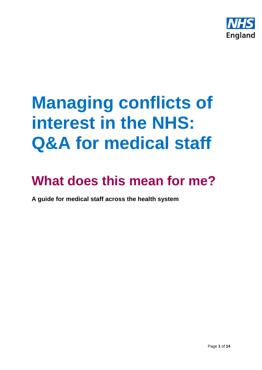

# **Managing conflicts of interest in the NHS: Q&A for medical staff**

# **What does this mean for me?**

**A guide for medical staff across the health system**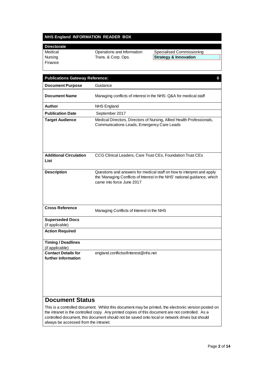# **NHS England INFORMATION READER BOX**

# **Directorate**

Finance

| Medical | Operations and Information | <b>Specialised Commissioning</b> |
|---------|----------------------------|----------------------------------|
| Nursing | Trans. & Corp. Ops.        | <b>Strategy &amp; Innovation</b> |

| <b>Publications Gateway Reference:</b><br>0                                                          |                                                                                                                                                                                |  |
|------------------------------------------------------------------------------------------------------|--------------------------------------------------------------------------------------------------------------------------------------------------------------------------------|--|
| <b>Document Purpose</b>                                                                              | Guidance                                                                                                                                                                       |  |
| <b>Document Name</b>                                                                                 | Managing conflicts of interest in the NHS: Q&A for medical staff                                                                                                               |  |
| Author                                                                                               | <b>NHS England</b>                                                                                                                                                             |  |
| <b>Publication Date</b>                                                                              | September 2017                                                                                                                                                                 |  |
| <b>Target Audience</b>                                                                               | Medical Directors, Directors of Nursing, Allied Health Professionals,<br>Communications Leads, Emergency Care Leads                                                            |  |
| <b>Additional Circulation</b><br>List                                                                | CCG Clinical Leaders, Care Trust CEs, Foundation Trust CEs                                                                                                                     |  |
| <b>Description</b>                                                                                   | Questions and answers for medical staff on how to interpret and apply<br>the 'Managing Conflicts of Interest in the NHS' national guidance, which<br>came into force June 2017 |  |
| <b>Cross Reference</b>                                                                               | Managing Conflicts of Interest in the NHS                                                                                                                                      |  |
| <b>Superseded Docs</b><br>(if applicable)                                                            |                                                                                                                                                                                |  |
| <b>Action Required</b>                                                                               |                                                                                                                                                                                |  |
| <b>Timing / Deadlines</b><br>(if applicable)                                                         |                                                                                                                                                                                |  |
| <b>Contact Details for</b><br>further information                                                    | england.conflictsofinterest@nhs.net                                                                                                                                            |  |
| <b>Document Status</b>                                                                               |                                                                                                                                                                                |  |
| This is a controlled document. Whilst this document may be printed, the electronic version posted on |                                                                                                                                                                                |  |

the intranet is the controlled copy. Any printed copies of this document are not controlled. As a controlled document, this document should not be saved onto local or network drives but should always be accessed from the intranet.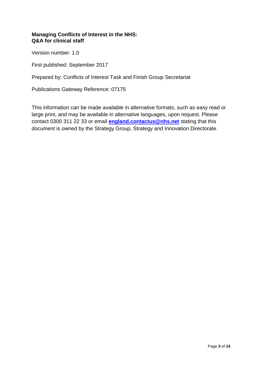# **Managing Conflicts of Interest in the NHS: Q&A for clinical staff**

Version number: 1.0

First published: September 2017

Prepared by: Conflicts of Interest Task and Finish Group Secretariat

Publications Gateway Reference: 07175

This information can be made available in alternative formats, such as easy read or large print, and may be available in alternative languages, upon request. Please contact 0300 311 22 33 or email **[england.contactus@nhs.net](mailto:england.contactus@nhs.net)** stating that this document is owned by the Strategy Group, Strategy and Innovation Directorate.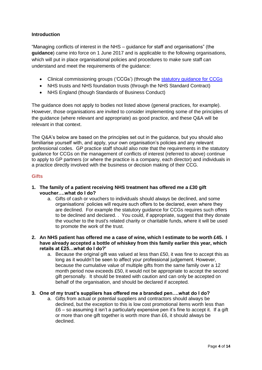# **Introduction**

"Managing conflicts of interest in the NHS – guidance for staff and organisations" (the **guidance**) came into force on 1 June 2017 and is applicable to the following organisations, which will put in place organisational policies and procedures to make sure staff can understand and meet the requirements of the guidance:

- Clinical commissioning groups ('CCGs') (through the [statutory guidance for CCGs](http://www.england.nhs.uk/commissioning/pc-co-comms/coi/)
- NHS trusts and NHS foundation trusts (through the NHS Standard Contract)
- NHS England (though Standards of Business Conduct)

The guidance does not apply to bodies not listed above (general practices, for example). However, those organisations are invited to consider implementing some of the principles of the guidance (where relevant and appropriate) as good practice, and these Q&A will be relevant in that context.

The Q&A's below are based on the principles set out in the guidance, but you should also familiarise yourself with, and apply, your own organisation's policies and any relevant professional codes. GP practice staff should also note that the requirements in the statutory guidance for CCGs on the management of conflicts of interest (referred to above) continue to apply to GP partners (or where the practice is a company, each director) and individuals in a practice directly involved with the business or decision making of their CCG.

# **Gifts**

- **1. The family of a patient receiving NHS treatment has offered me a £30 gift voucher….what do I do?**
	- a. Gifts of cash or vouchers to individuals should always be declined, and some organisations' policies will require such offers to be declared, even where they are declined. For example the statutory guidance for CCGs requires such offers to be declined and declared. . You could, if appropriate, suggest that they donate the voucher to the trust's related charity or charitable funds, where it will be used to promote the work of the trust.
- **2. An NHS patient has offered me a case of wine, which I estimate to be worth £45. I have already accepted a bottle of whiskey from this family earlier this year, which retails at £25…what do I do?'**
	- a. Because the original gift was valued at less than £50, it was fine to accept this as long as it wouldn't be seen to affect your professional judgement. However, because the cumulative value of multiple gifts from the same family over a 12 month period now exceeds £50, it would not be appropriate to accept the second gift personally. It should be treated with caution and can only be accepted on behalf of the organisation, and should be declared if accepted.

# **3. One of my trust's suppliers has offered me a branded pen….what do I do?**

a. Gifts from actual or potential suppliers and contractors should always be declined, but the exception to this is low cost promotional items worth less than £6 – so assuming it isn't a particularly expensive pen it's fine to accept it. If a gift or more than one gift together is worth more than £6, it should always be declined.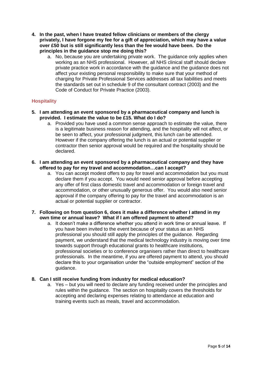- **4. In the past, when I have treated fellow clinicians or members of the clergy privately, I have forgone my fee for a gift of appreciation, which may have a value over £50 but is still significantly less than the fee would have been. Do the principles in the guidance stop me doing this?**
	- a. No, because you are undertaking private work. The guidance only applies when working as an NHS professional. However, all NHS clinical staff should declare private practice work in accordance with the guidance and the guidance does not affect your existing personal responsibility to make sure that your method of charging for Private Professional Services addresses all tax liabilities and meets the standards set out in schedule 9 of the consultant contract (2003) and the Code of Conduct for Private Practice (2003).

# **Hospitality**

- **5. I am attending an event sponsored by a pharmaceutical company and lunch is provided. I estimate the value to be £15. What do I do?**
	- a. Provided you have used a common sense approach to estimate the value, there is a legitimate business reason for attending, and the hospitality will not affect, or be seen to affect, your professional judgment, this lunch can be attended. However if the company offering the lunch is an actual or potential supplier or contractor then senior approval would be required and the hospitality should be declared.
- **6. I am attending an event sponsored by a pharmaceutical company and they have offered to pay for my travel and accommodation…can I accept?**
	- a. You can accept modest offers to pay for travel and accommodation but you must declare them if you accept. You would need senior approval before accepting any offer of first class domestic travel and accommodation or foreign travel and accommodation, or other unusually generous offer. You would also need senior approval if the company offering to pay for the travel and accommodation is an actual or potential supplier or contractor.

# **7. Following on from question 6, does it make a difference whether I attend in my own time or annual leave? What if I am offered payment to attend?**

a. It doesn't make a difference whether you attend in work time or annual leave. If you have been invited to the event because of your status as an NHS professional you should still apply the principles of the guidance. Regarding payment, we understand that the medical technology industry is moving over time towards support through educational grants to healthcare institutions, professional societies or to conference organisers rather than direct to healthcare professionals. In the meantime, if you are offered payment to attend, you should declare this to your organisation under the "outside employment" section of the guidance.

# **8. Can I still receive funding from industry for medical education?**

a. Yes – but you will need to declare any funding received under the principles and rules within the guidance. The section on hospitality covers the thresholds for accepting and declaring expenses relating to attendance at education and training events such as meals, travel and accommodation.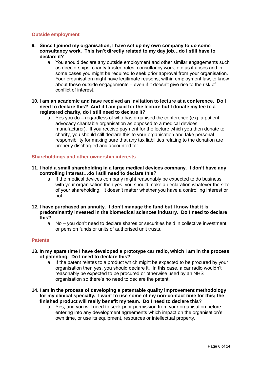# **Outside employment**

- **9. Since I joined my organisation, I have set up my own company to do some consultancy work. This isn't directly related to my day job…do I still have to declare it?**
	- a. You should declare any outside employment and other similar engagements such as directorships, charity trustee roles, consultancy work, etc as it arises and in some cases you might be required to seek prior approval from your organisation. Your organisation might have legitimate reasons, within employment law, to know about these outside engagements – even if it doesn't give rise to the risk of conflict of interest.
- **10. I am an academic and have received an invitation to lecture at a conference. Do I need to declare this? And if I am paid for the lecture but I donate my fee to a registered charity, do I still need to declare it?**
	- a. Yes you do regardless of who has organised the conference (e.g. a patient advocacy charitable organisation as opposed to a medical devices manufacturer). If you receive payment for the lecture which you then donate to charity, you should still declare this to your organisation and take personal responsibility for making sure that any tax liabilities relating to the donation are properly discharged and accounted for.

# **Shareholdings and other ownership interests**

- **11. I hold a small shareholding in a large medical devices company. I don't have any controlling interest…do I still need to declare this?**
	- a. If the medical devices company might reasonably be expected to do business with your organisation then yes, you should make a declaration whatever the size of your shareholding. It doesn't matter whether you have a controlling interest or not.
- **12. I have purchased an annuity. I don't manage the fund but I know that it is predominantly invested in the biomedical sciences industry. Do I need to declare this?**
	- a. No you don't need to declare shares or securities held in collective investment or pension funds or units of authorised unit trusts.

#### **Patents**

- **13. In my spare time I have developed a prototype car radio, which I am in the process of patenting. Do I need to declare this?**
	- a. If the patent relates to a product which might be expected to be procured by your organisation then yes, you should declare it. In this case, a car radio wouldn't reasonably be expected to be procured or otherwise used by an NHS organisation so there's no need to declare the patent.
- **14. I am in the process of developing a patentable quality improvement methodology for my clinical specialty. I want to use some of my non-contact time for this; the finished product will really benefit my team. Do I need to declare this?**
	- a. Yes, and you will need to seek prior permission from your organisation before entering into any development agreements which impact on the organisation's own time, or use its equipment, resources or intellectual property.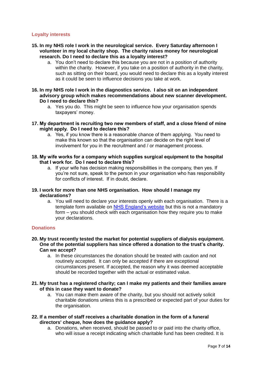# **Loyalty interests**

- **15. In my NHS role I work in the neurological service. Every Saturday afternoon I volunteer in my local charity shop. The charity raises money for neurological research. Do I need to declare this as a loyalty interest?**
	- a. You don't need to declare this because you are not in a position of authority within the charity. However, if you take on a position of authority in the charity, such as sitting on their board, you would need to declare this as a loyalty interest as it could be seen to influence decisions you take at work.
- **16. In my NHS role I work in the diagnostics service. I also sit on an independent advisory group which makes recommendations about new scanner development. Do I need to declare this?**
	- a. Yes you do. This might be seen to influence how your organisation spends taxpayers' money.
- **17. My department is recruiting two new members of staff, and a close friend of mine might apply. Do I need to declare this?**
	- a. Yes, if you know there is a reasonable chance of them applying. You need to make this known so that the organisation can decide on the right level of involvement for you in the recruitment and / or management process.
- **18. My wife works for a company which supplies surgical equipment to the hospital that I work for. Do I need to declare this?**
	- a. If your wife has decision making responsibilities in the company, then yes. If you're not sure, speak to the person in your organisation who has responsibility for conflicts of interest. If in doubt, declare.
- **19. I work for more than one NHS organisation. How should I manage my declarations?**
	- a. You will need to declare your interests openly with each organisation. There is a template form available on [NHS England's website](https://www.england.nhs.uk/ourwork/coi/) but this is not a mandatory form – you should check with each organisation how they require you to make your declarations.

#### **Donations**

- **20. My trust recently tested the market for potential suppliers of dialysis equipment. One of the potential suppliers has since offered a donation to the trust's charity. Can we accept?**
	- a. In these circumstances the donation should be treated with caution and not routinely accepted. It can only be accepted if there are exceptional circumstances present. If accepted, the reason why it was deemed acceptable should be recorded together with the actual or estimated value.
- **21. My trust has a registered charity; can I make my patients and their families aware of this in case they want to donate?**
	- a. You can make them aware of the charity, but you should not actively solicit charitable donations unless this is a prescribed or expected part of your duties for the organisation.
- **22. If a member of staff receives a charitable donation in the form of a funeral directors' cheque, how does the guidance apply?**
	- a. Donations, when received, should be passed to or paid into the charity office, who will issue a receipt indicating which charitable fund has been credited. It is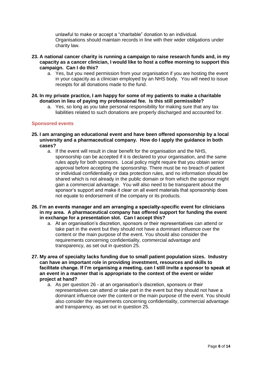unlawful to make or accept a "charitable" donation to an individual. Organisations should maintain records in line with their wider obligations under charity law.

- **23. A national cancer charity is running a campaign to raise research funds and, in my capacity as a cancer clinician, I would like to host a coffee morning to support this campaign. Can I do this?**
	- a. Yes, but you need permission from your organisation if you are hosting the event in your capacity as a clinician employed by an NHS body. You will need to issue receipts for all donations made to the fund.
- **24. In my private practice, I am happy for some of my patients to make a charitable donation in lieu of paying my professional fee. Is this still permissible?**
	- a. Yes, so long as you take personal responsibility for making sure that any tax liabilities related to such donations are properly discharged and accounted for.

# **Sponsored events**

- **25. I am arranging an educational event and have been offered sponsorship by a local university and a pharmaceutical company. How do I apply the guidance in both cases?**
	- a. If the event will result in clear benefit for the organisation and the NHS, sponsorship can be accepted if it is declared to your organisation, and the same rules apply for both sponsors. Local policy might require that you obtain senior approval before accepting the sponsorship. There must be no breach of patient or individual confidentiality or data protection rules, and no information should be shared which is not already in the public domain or from which the sponsor might gain a commercial advantage. You will also need to be transparent about the sponsor's support and make it clear on all event materials that sponsorship does not equate to endorsement of the company or its products.
- **26. I'm an events manager and am arranging a specialty-specific event for clinicians in my area. A pharmaceutical company has offered support for funding the event in exchange for a presentation slot. Can I accept this?** 
	- a. At an organisation's discretion, sponsors or their representatives can attend or take part in the event but they should not have a dominant influence over the content or the main purpose of the event. You should also consider the requirements concerning confidentiality, commercial advantage and transparency, as set out in question 25.
- **27. My area of specialty lacks funding due to small patient population sizes. Industry can have an important role in providing investment, resources and skills to facilitate change. If I'm organising a meeting, can I still invite a sponsor to speak at an event in a manner that is appropriate to the context of the event or wider project at hand?**
	- a. As per question 26 at an organisation's discretion, sponsors or their representatives can attend or take part in the event but they should not have a dominant influence over the content or the main purpose of the event. You should also consider the requirements concerning confidentiality, commercial advantage and transparency, as set out in question 25.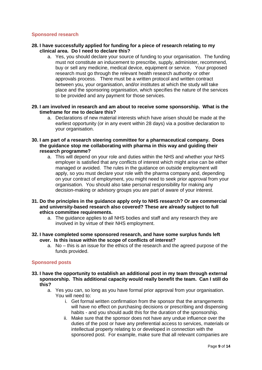# **Sponsored research**

- **28. I have successfully applied for funding for a piece of research relating to my clinical area. Do I need to declare this?**
	- a. Yes, you should declare your source of funding to your organisation. The funding must not constitute an inducement to prescribe, supply, administer, recommend, buy or sell any medicine, medical device, equipment or service. Your proposed research must go through the relevant health research authority or other approvals process. There must be a written protocol and written contract between you, your organisation, and/or institutes at which the study will take place and the sponsoring organisation, which specifies the nature of the services to be provided and any payment for those services.
- **29. I am involved in research and am about to receive some sponsorship. What is the timeframe for me to declare this?** 
	- a. Declarations of new material interests which have arisen should be made at the earliest opportunity (or in any event within 28 days) via a positive declaration to your organisation.
- **30. I am part of a research steering committee for a pharmaceutical company. Does the guidance stop me collaborating with pharma in this way and guiding their research programme?**
	- a. This will depend on your role and duties within the NHS and whether your NHS employer is satisfied that any conflicts of interest which might arise can be either managed or avoided. The rules in the guidance on outside employment will apply, so you must declare your role with the pharma company and, depending on your contract of employment, you might need to seek prior approval from your organisation. You should also take personal responsibility for making any decision-making or advisory groups you are part of aware of your interest.
- **31. Do the principles in the guidance apply only to NHS research? Or are commercial and university-based research also covered? These are already subject to full ethics committee requirements.**
	- a. The guidance applies to all NHS bodies and staff and any research they are involved in by virtue of their NHS employment.
- **32. I have completed some sponsored research, and have some surplus funds left over. Is this issue within the scope of conflicts of interest?**
	- a. No this is an issue for the ethics of the research and the agreed purpose of the funds provided.

# **Sponsored posts**

- **33. I have the opportunity to establish an additional post in my team through external sponsorship. This additional capacity would really benefit the team. Can I still do this?** 
	- a. Yes you can, so long as you have formal prior approval from your organisation. You will need to:
		- i. Get formal written confirmation from the sponsor that the arrangements will have no effect on purchasing decisions or prescribing and dispensing habits - and you should audit this for the duration of the sponsorship.
		- ii. Make sure that the sponsor does not have any undue influence over the duties of the post or have any preferential access to services, materials or intellectual property relating to or developed in connection with the sponsored post. For example, make sure that all relevant companies are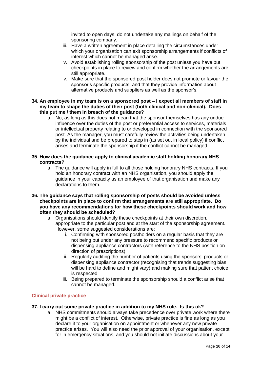invited to open days; do not undertake any mailings on behalf of the sponsoring company.

- iii. Have a written agreement in place detailing the circumstances under which your organisation can exit sponsorship arrangements if conflicts of interest which cannot be managed arise.
- iv. Avoid establishing rolling sponsorship of the post unless you have put checkpoints in place to review and confirm whether the arrangements are still appropriate.
- v. Make sure that the sponsored post holder does not promote or favour the sponsor's specific products, and that they provide information about alternative products and suppliers as well as the sponsor's.
- **34. An employee in my team is on a sponsored post – I expect all members of staff in my team to shape the duties of their post (both clinical and non-clinical). Does this put me / them in breach of the guidance?**
	- a. No, as long as this does not mean that the sponsor themselves has any undue influence over the duties of the post or preferential access to services, materials or intellectual property relating to or developed in connection with the sponsored post. As the manager, you must carefully review the activities being undertaken by the individual and be prepared to step in (as set out in local policy) if conflict arises and terminate the sponsorship if the conflict cannot be managed.
- **35. How does the guidance apply to clinical academic staff holding honorary NHS contracts?**
	- a. The guidance will apply in full to all those holding honorary NHS contracts. If you hold an honorary contract with an NHS organisation, you should apply the guidance in your capacity as an employee of that organisation and make any declarations to them.
- **36. The guidance says that rolling sponsorship of posts should be avoided unless checkpoints are in place to confirm that arrangements are still appropriate. Do you have any recommendations for how these checkpoints should work and how often they should be scheduled?**
	- a. Organisations should identify these checkpoints at their own discretion, appropriate to the particular post and at the start of the sponsorship agreement. However, some suggested considerations are:
		- i. Confirming with sponsored postholders on a regular basis that they are not being put under any pressure to recommend specific products or dispensing appliance contractors (with reference to the NHS position on direction of prescriptions)
		- ii. Regularly auditing the number of patients using the sponsors' products or dispensing appliance contractor (recognising that trends suggesting bias will be hard to define and might vary) and making sure that patient choice is respected
		- iii. Being prepared to terminate the sponsorship should a conflict arise that cannot be managed.

# **Clinical private practice**

# **37. I carry out some private practice in addition to my NHS role. Is this ok?**

a. NHS commitments should always take precedence over private work where there might be a conflict of interest. Otherwise, private practice is fine as long as you declare it to your organisation on appointment or whenever any new private practice arises. You will also need the prior approval of your organisation, except for in emergency situations, and you should not initiate discussions about your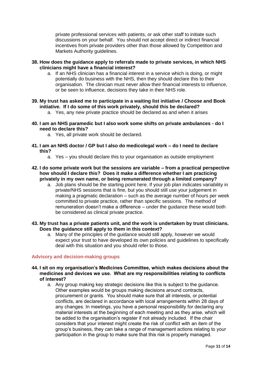private professional services with patients, or ask other staff to initiate such discussions on your behalf. You should not accept direct or indirect financial incentives from private providers other than those allowed by Competition and Markets Authority guidelines.

- **38. How does the guidance apply to referrals made to private services, in which NHS clinicians might have a financial interest?** 
	- a. If an NHS clinician has a financial interest in a service which is doing, or might potentially do business with the NHS, then they should declare this to their organisation. The clinician must never allow their financial interests to influence, or be seen to influence, decisions they take in their NHS role.
- **39. My trust has asked me to participate in a waiting list initiative / Choose and Book initiative. If I do some of this work privately, should this be declared?** 
	- a. Yes, any new private practice should be declared as and when it arises
- **40. I am an NHS paramedic but I also work some shifts on private ambulances - do I need to declare this?**
	- a. Yes, all private work should be declared.
- **41. I am an NHS doctor / GP but I also do medicolegal work – do I need to declare this?**
	- a. Yes you should declare this to your organisation as outside employment
- **42. I do some private work but the sessions are variable – from a practical perspective how should I declare this? Does it make a difference whether I am practicing privately in my own name, or being remunerated through a limited company?**
	- a. Job plans should be the starting point here. If your job plan indicates variability in private/NHS sessions that is fine, but you should still use your judgement in making a pragmatic declaration – such as the average number of hours per week committed to private practice, rather than specific sessions. The method of remuneration doesn't make a difference – under the guidance these would both be considered as clinical private practice.
- **43. My trust has a private patients unit, and the work is undertaken by trust clinicians. Does the guidance still apply to them in this context?**
	- a. Many of the principles of the guidance would still apply, however we would expect your trust to have developed its own policies and guidelines to specifically deal with this situation and you should refer to those.

#### **Advisory and decision-making groups**

- **44. I sit on my organisation's Medicines Committee, which makes decisions about the medicines and devices we use. What are my responsibilities relating to conflicts of interest?**
	- a. Any group making key strategic decisions like this is subject to the guidance. Other examples would be groups making decisions around contracts, procurement or grants. You should make sure that all interests, or potential conflicts, are declared in accordance with local arrangements within 28 days of any changes. In meetings, you have a personal responsibility for declaring any material interests at the beginning of each meeting and as they arise, which will be added to the organisation's register if not already included. If the chair considers that your interest might create the risk of conflict with an item of the group's business, they can take a range of management actions relating to your participation in the group to make sure that this risk is properly managed.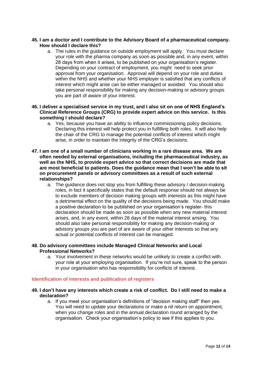# **45. I am a doctor and I contribute to the Advisory Board of a pharmaceutical company. How should I declare this?**

a. The rules in the guidance on outside employment will apply. You must declare your role with the pharma company as soon as possible and, in any event, within 28 days from when it arises, to be published on your organisation's register. Depending on your contract of employment, you might need to seek prior approval from your organisation. Approval will depend on your role and duties within the NHS and whether your NHS employer is satisfied that any conflicts of interest which might arise can be either managed or avoided. You should also take personal responsibility for making any decision-making or advisory groups you are part of aware of your interest.

# **46. I deliver a specialised service in my trust, and I also sit on one of NHS England's Clinical Reference Groups (CRG) to provide expert advice on this service. Is this something I should declare?**

- a. Yes, because you have an ability to influence commissioning policy decisions. Declaring this interest will help protect you in fulfilling both roles. It will also help the chair of the CRG to manage the potential conflicts of interest which might arise, in order to maintain the integrity of the CRG's decisions.
- **47. I am one of a small number of clinicians working in a rare disease area. We are often needed by external organisations, including the pharmaceutical industry, as well as the NHS, to provide expert advice so that correct decisions are made that are most beneficial to patients. Does the guidance mean that I won't be able to sit on procurement panels or advisory committees as a result of such external relationships?** 
	- a. The guidance does not stop you from fulfilling these advisory / decision-making roles, in fact it specifically states that the default response should not always be to exclude members of decision making groups with interests as this might have a detrimental effect on the quality of the decisions being made. You should make a positive declaration to be published on your organisation's register- this declaration should be made as soon as possible when any new material interest arises, and, in any event, within 28 days of the material interest arising. You should also take personal responsibility for making any decision-making or advisory groups you are part of are aware of your other interests so that any actual or potential conflicts of interest can be managed.

# **48. Do advisory committees include Managed Clinical Networks and Local Professional Networks?**

a. Your involvement in these networks would be unlikely to create a conflict with your role at your employing organisation. If you're not sure, speak to the person in your organisation who has responsibility for conflicts of interest.

# **Identification of interests and publication of registers**

# **49. I don't have any interests which create a risk of conflict. Do I still need to make a declaration?**

a. If you meet your organisation's definitions of "decision making staff" then yes. You will need to update your declarations or make a nil return on appointment, when you change roles and in the annual declaration round arranged by the organisation. Check your organisation's policy to see if this applies to you.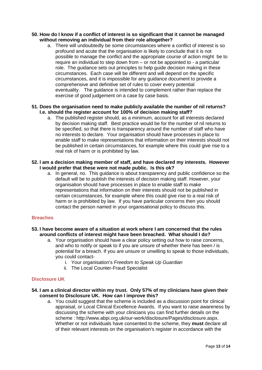### **50. How do I know if a conflict of interest is so significant that it cannot be managed without removing an individual from their role altogether?**

a. There will undoubtedly be some circumstances where a conflict of interest is so profound and acute that the organisation is likely to conclude that it is not possible to manage the conflict and the appropriate course of action might be to require an individual to step down from – or not be appointed to - a particular role. The guidance sets out principles to help guide decision making in these circumstances. Each case will be different and will depend on the specific circumstances, and it is impossible for any guidance document to provide a comprehensive and definitive set of rules to cover every potential eventuality. The guidance is intended to complement rather than replace the exercise of good judgement on a case by case basis.

#### **51. Does the organisation need to make publicly available the number of nil returns? I.e. should the register account for 100% of decision making staff?**

a. The published register should, as a minimum, account for all interests declared by decision making staff. Best practice would be for the number of nil returns to be specified, so that there is transparency around the number of staff who have no interests to declare. Your organisation should have processes in place to enable staff to make representations that information on their interests should not be published in certain circumstances, for example where this could give rise to a real risk of harm or is prohibited by law.

#### **52. I am a decision making member of staff, and have declared my interests. However I would prefer that these were not made public. Is this ok?**

a. In general, no. This guidance is about transparency and public confidence so the default will be to publish the interests of decision making staff. However, your organisation should have processes in place to enable staff to make representations that information on their interests should not be published in certain circumstances, for example where this could give rise to a real risk of harm or is prohibited by law. If you have particular concerns then you should contact the person named in your organisational policy to discuss this.

# **Breaches**

# **53. I have become aware of a situation at work where I am concerned that the rules around conflicts of interest might have been breached. What should I do?**

- a. Your organisation should have a clear policy setting out how to raise concerns, and who to notify or speak to if you are unsure of whether there has been / is potential for a breach. If you are unsure or unwilling to speak to those individuals, you could contact
	- i. Your organisation's *Freedom to Speak Up Guardian*
	- ii. The Local Counter-Fraud Specialist

# **Disclosure UK**

# **54. I am a clinical director within my trust. Only 57% of my clinicians have given their consent to Disclosure UK. How can I improve this?**

a. You could suggest that the scheme is included as a discussion point for clinical appraisal, or Local Clinical Excellence Awards. If you want to raise awareness by discussing the scheme with your clinicians you can find further details on the scheme : [http://www.abpi.org.uk/our-work/disclosure/Pages/disclosure.aspx.](http://www.abpi.org.uk/our-work/disclosure/Pages/disclosure.aspx) Whether or not individuals have consented to the scheme, they **must** declare all of their relevant interests on the organisation's register in accordance with the